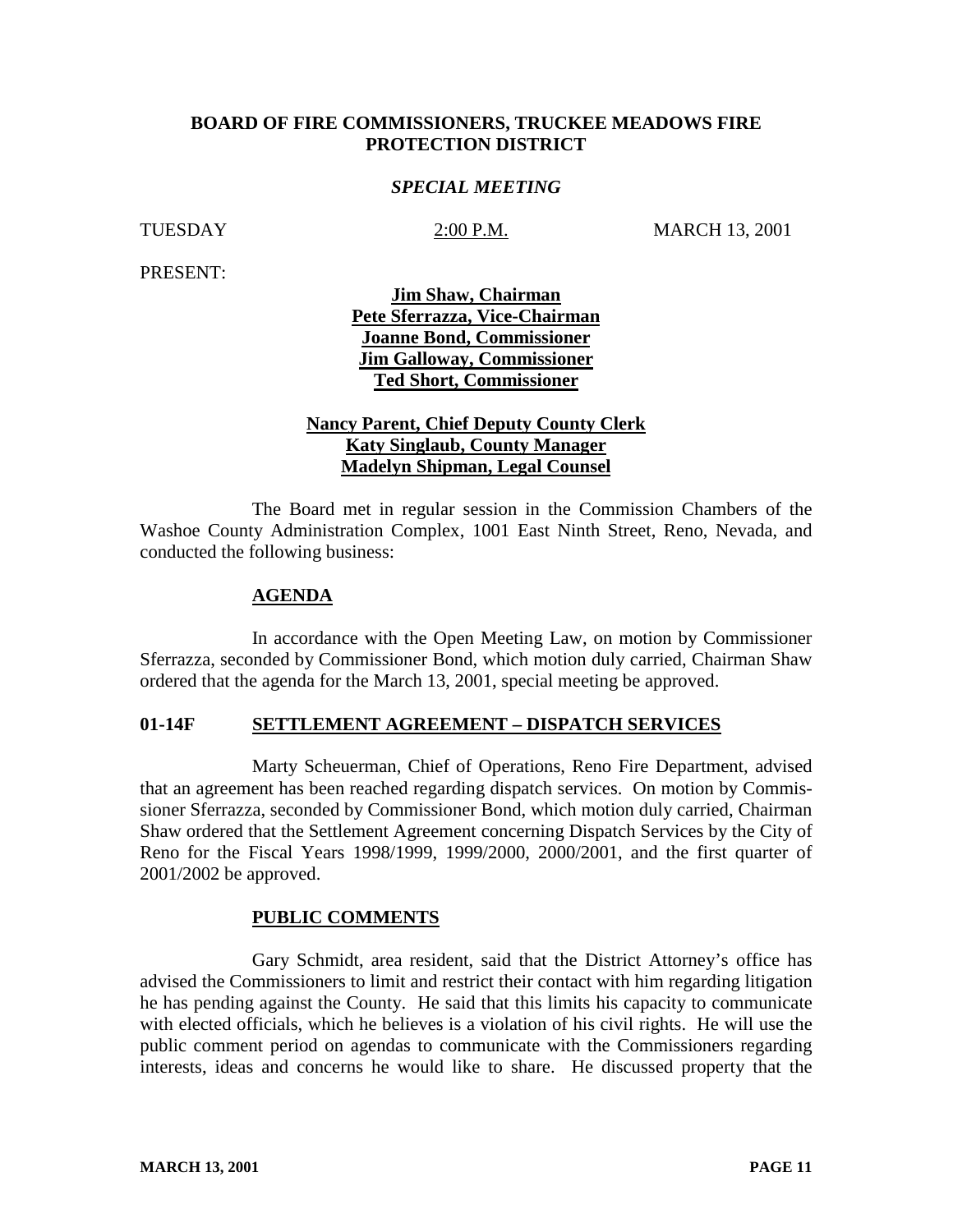## **BOARD OF FIRE COMMISSIONERS, TRUCKEE MEADOWS FIRE PROTECTION DISTRICT**

## *SPECIAL MEETING*

TUESDAY 2:00 P.M. MARCH 13, 2001

PRESENT:

**Jim Shaw, Chairman Pete Sferrazza, Vice-Chairman Joanne Bond, Commissioner Jim Galloway, Commissioner Ted Short, Commissioner**

# **Nancy Parent, Chief Deputy County Clerk Katy Singlaub, County Manager Madelyn Shipman, Legal Counsel**

 The Board met in regular session in the Commission Chambers of the Washoe County Administration Complex, 1001 East Ninth Street, Reno, Nevada, and conducted the following business:

## **AGENDA**

In accordance with the Open Meeting Law, on motion by Commissioner Sferrazza, seconded by Commissioner Bond, which motion duly carried, Chairman Shaw ordered that the agenda for the March 13, 2001, special meeting be approved.

## **01-14F SETTLEMENT AGREEMENT – DISPATCH SERVICES**

Marty Scheuerman, Chief of Operations, Reno Fire Department, advised that an agreement has been reached regarding dispatch services. On motion by Commissioner Sferrazza, seconded by Commissioner Bond, which motion duly carried, Chairman Shaw ordered that the Settlement Agreement concerning Dispatch Services by the City of Reno for the Fiscal Years 1998/1999, 1999/2000, 2000/2001, and the first quarter of 2001/2002 be approved.

## **PUBLIC COMMENTS**

Gary Schmidt, area resident, said that the District Attorney's office has advised the Commissioners to limit and restrict their contact with him regarding litigation he has pending against the County. He said that this limits his capacity to communicate with elected officials, which he believes is a violation of his civil rights. He will use the public comment period on agendas to communicate with the Commissioners regarding interests, ideas and concerns he would like to share. He discussed property that the